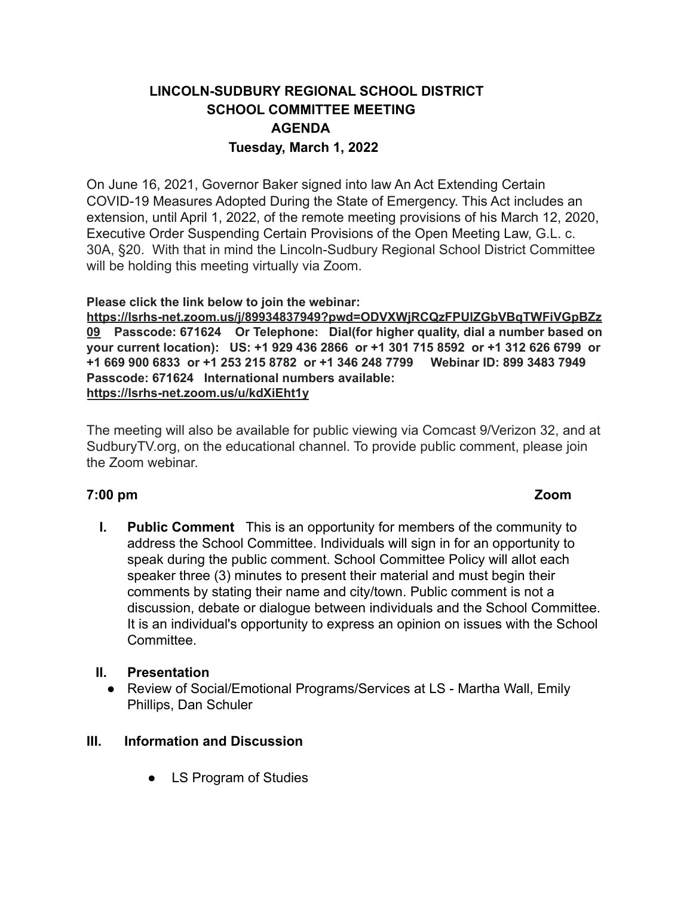# **LINCOLN-SUDBURY REGIONAL SCHOOL DISTRICT SCHOOL COMMITTEE MEETING AGENDA Tuesday, March 1, 2022**

On June 16, 2021, Governor Baker signed into law An Act Extending Certain COVID-19 Measures Adopted During the State of Emergency. This Act includes an extension, until April 1, 2022, of the remote meeting provisions of his March 12, 2020, Executive Order Suspending Certain Provisions of the Open Meeting Law, G.L. c. 30A, §20. With that in mind the Lincoln-Sudbury Regional School District Committee will be holding this meeting virtually via Zoom.

**Please click the link below to join the webinar:**

**[https://lsrhs-net.zoom.us/j/89934837949?pwd=ODVXWjRCQzFPUlZGbVBqTWFiVGpBZz](https://lsrhs-net.zoom.us/j/89934837949?pwd=ODVXWjRCQzFPUlZGbVBqTWFiVGpBZz09) [09](https://lsrhs-net.zoom.us/j/89934837949?pwd=ODVXWjRCQzFPUlZGbVBqTWFiVGpBZz09) Passcode: 671624 Or Telephone: Dial(for higher quality, dial a number based on your current location): US: +1 929 436 2866 or +1 301 715 8592 or +1 312 626 6799 or +1 669 900 6833 or +1 253 215 8782 or +1 346 248 7799 Webinar ID: 899 3483 7949 Passcode: 671624 International numbers available: <https://lsrhs-net.zoom.us/u/kdXiEht1y>**

The meeting will also be available for public viewing via Comcast 9/Verizon 32, and at SudburyTV.org, on the educational channel. To provide public comment, please join the Zoom webinar.

## **7:00 pm Zoom**

**I. Public Comment** This is an opportunity for members of the community to address the School Committee. Individuals will sign in for an opportunity to speak during the public comment. School Committee Policy will allot each speaker three (3) minutes to present their material and must begin their comments by stating their name and city/town. Public comment is not a discussion, debate or dialogue between individuals and the School Committee. It is an individual's opportunity to express an opinion on issues with the School **Committee.** 

## **II. Presentation**

● Review of Social/Emotional Programs/Services at LS - Martha Wall, Emily Phillips, Dan Schuler

## **III. Information and Discussion**

● LS Program of Studies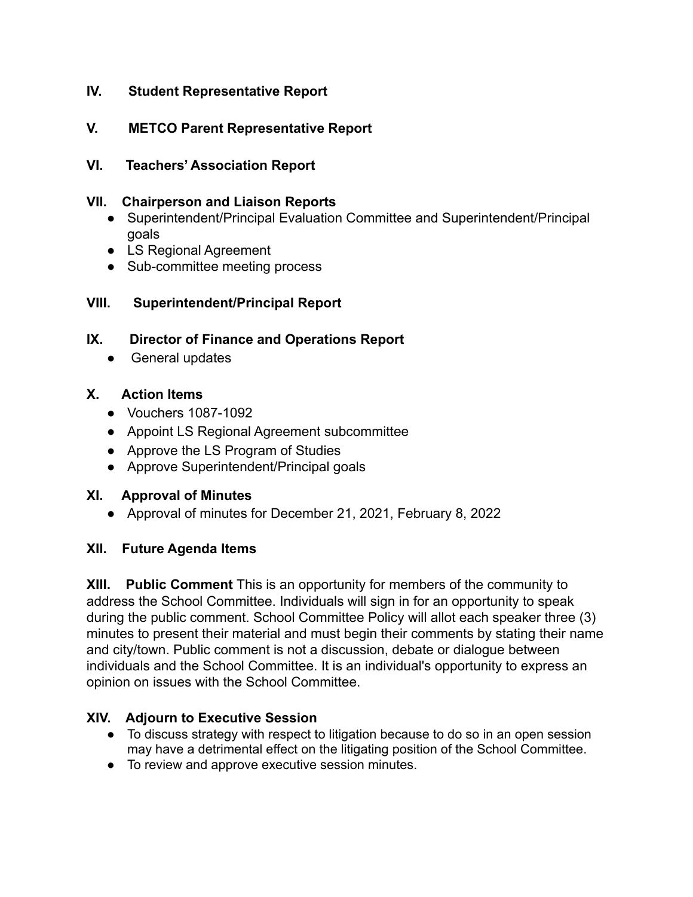## **IV. Student Representative Report**

## **V. METCO Parent Representative Report**

### **VI. Teachers' Association Report**

#### **VII. Chairperson and Liaison Reports**

- Superintendent/Principal Evaluation Committee and Superintendent/Principal goals
- LS Regional Agreement
- Sub-committee meeting process

## **VIII. Superintendent/Principal Report**

## **IX. Director of Finance and Operations Report**

• General updates

## **X. Action Items**

- Vouchers 1087-1092
- Appoint LS Regional Agreement subcommittee
- Approve the LS Program of Studies
- Approve Superintendent/Principal goals

#### **XI. Approval of Minutes**

● Approval of minutes for December 21, 2021, February 8, 2022

#### **XII. Future Agenda Items**

**XIII. Public Comment** This is an opportunity for members of the community to address the School Committee. Individuals will sign in for an opportunity to speak during the public comment. School Committee Policy will allot each speaker three (3) minutes to present their material and must begin their comments by stating their name and city/town. Public comment is not a discussion, debate or dialogue between individuals and the School Committee. It is an individual's opportunity to express an opinion on issues with the School Committee.

#### **XIV. Adjourn to Executive Session**

- To discuss strategy with respect to litigation because to do so in an open session may have a detrimental effect on the litigating position of the School Committee.
- To review and approve executive session minutes.